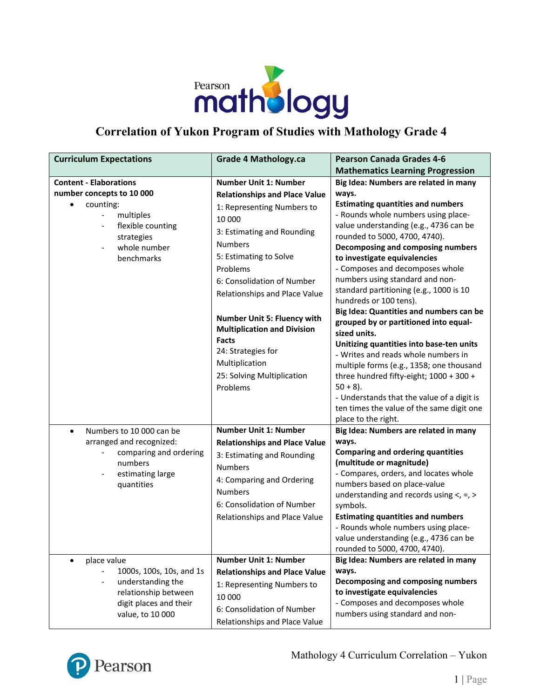

## **Correlation of Yukon Program of Studies with Mathology Grade 4**

| <b>Curriculum Expectations</b>                                                                                                                                                                                | <b>Grade 4 Mathology.ca</b>                                                                                                                                                                                                                                                                                                                                                                                                              | <b>Pearson Canada Grades 4-6</b>                                                                                                                                                                                                                                                                                                                                                                                                                                                                                                                                                                                                                                                                                                                                                                                                            |
|---------------------------------------------------------------------------------------------------------------------------------------------------------------------------------------------------------------|------------------------------------------------------------------------------------------------------------------------------------------------------------------------------------------------------------------------------------------------------------------------------------------------------------------------------------------------------------------------------------------------------------------------------------------|---------------------------------------------------------------------------------------------------------------------------------------------------------------------------------------------------------------------------------------------------------------------------------------------------------------------------------------------------------------------------------------------------------------------------------------------------------------------------------------------------------------------------------------------------------------------------------------------------------------------------------------------------------------------------------------------------------------------------------------------------------------------------------------------------------------------------------------------|
|                                                                                                                                                                                                               |                                                                                                                                                                                                                                                                                                                                                                                                                                          | <b>Mathematics Learning Progression</b>                                                                                                                                                                                                                                                                                                                                                                                                                                                                                                                                                                                                                                                                                                                                                                                                     |
| <b>Content - Elaborations</b><br>number concepts to 10 000<br>counting:<br>multiples<br>flexible counting<br>$\overline{\phantom{a}}$<br>strategies<br>whole number<br>$\overline{\phantom{a}}$<br>benchmarks | <b>Number Unit 1: Number</b><br><b>Relationships and Place Value</b><br>1: Representing Numbers to<br>10 000<br>3: Estimating and Rounding<br><b>Numbers</b><br>5: Estimating to Solve<br>Problems<br>6: Consolidation of Number<br>Relationships and Place Value<br>Number Unit 5: Fluency with<br><b>Multiplication and Division</b><br><b>Facts</b><br>24: Strategies for<br>Multiplication<br>25: Solving Multiplication<br>Problems | Big Idea: Numbers are related in many<br>ways.<br><b>Estimating quantities and numbers</b><br>- Rounds whole numbers using place-<br>value understanding (e.g., 4736 can be<br>rounded to 5000, 4700, 4740).<br>Decomposing and composing numbers<br>to investigate equivalencies<br>- Composes and decomposes whole<br>numbers using standard and non-<br>standard partitioning (e.g., 1000 is 10<br>hundreds or 100 tens).<br>Big Idea: Quantities and numbers can be<br>grouped by or partitioned into equal-<br>sized units.<br>Unitizing quantities into base-ten units<br>- Writes and reads whole numbers in<br>multiple forms (e.g., 1358; one thousand<br>three hundred fifty-eight; 1000 + 300 +<br>$50 + 8$ ).<br>- Understands that the value of a digit is<br>ten times the value of the same digit one<br>place to the right. |
| Numbers to 10 000 can be<br>$\bullet$<br>arranged and recognized:<br>comparing and ordering<br>numbers<br>estimating large<br>quantities                                                                      | <b>Number Unit 1: Number</b><br><b>Relationships and Place Value</b><br>3: Estimating and Rounding<br><b>Numbers</b><br>4: Comparing and Ordering<br><b>Numbers</b><br>6: Consolidation of Number<br>Relationships and Place Value                                                                                                                                                                                                       | Big Idea: Numbers are related in many<br>ways.<br><b>Comparing and ordering quantities</b><br>(multitude or magnitude)<br>- Compares, orders, and locates whole<br>numbers based on place-value<br>understanding and records using $\lt$ , =, ><br>symbols.<br><b>Estimating quantities and numbers</b><br>- Rounds whole numbers using place-<br>value understanding (e.g., 4736 can be<br>rounded to 5000, 4700, 4740).                                                                                                                                                                                                                                                                                                                                                                                                                   |
| place value<br>$\bullet$<br>1000s, 100s, 10s, and 1s<br>understanding the<br>$\overline{\phantom{a}}$<br>relationship between<br>digit places and their<br>value, to 10 000                                   | <b>Number Unit 1: Number</b><br><b>Relationships and Place Value</b><br>1: Representing Numbers to<br>10 000<br>6: Consolidation of Number<br>Relationships and Place Value                                                                                                                                                                                                                                                              | Big Idea: Numbers are related in many<br>ways.<br>Decomposing and composing numbers<br>to investigate equivalencies<br>- Composes and decomposes whole<br>numbers using standard and non-                                                                                                                                                                                                                                                                                                                                                                                                                                                                                                                                                                                                                                                   |

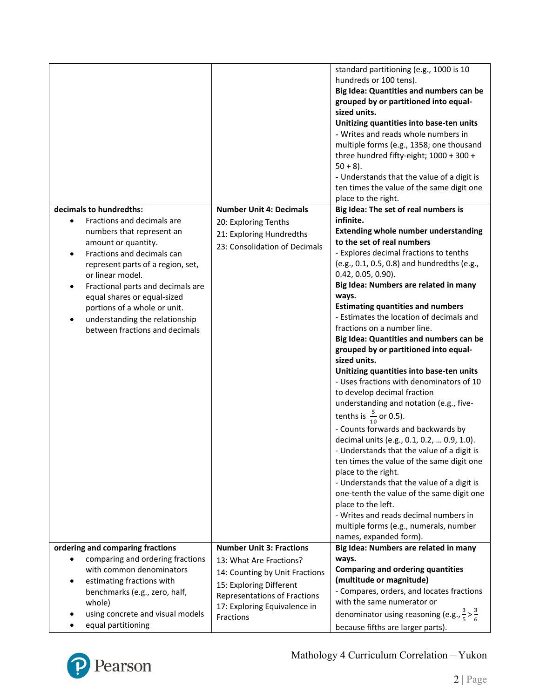|                                                                                                                                                                                                                                                                                                                                                                          |                                                                                                                                                                   | standard partitioning (e.g., 1000 is 10<br>hundreds or 100 tens).<br>Big Idea: Quantities and numbers can be<br>grouped by or partitioned into equal-<br>sized units.<br>Unitizing quantities into base-ten units<br>- Writes and reads whole numbers in<br>multiple forms (e.g., 1358; one thousand<br>three hundred fifty-eight; 1000 + 300 +<br>$50 + 8$ ).                                                                                                                                                                                                                                                                                                                                                                                                                                                                                                                                                                                                                                                                                                                                       |
|--------------------------------------------------------------------------------------------------------------------------------------------------------------------------------------------------------------------------------------------------------------------------------------------------------------------------------------------------------------------------|-------------------------------------------------------------------------------------------------------------------------------------------------------------------|------------------------------------------------------------------------------------------------------------------------------------------------------------------------------------------------------------------------------------------------------------------------------------------------------------------------------------------------------------------------------------------------------------------------------------------------------------------------------------------------------------------------------------------------------------------------------------------------------------------------------------------------------------------------------------------------------------------------------------------------------------------------------------------------------------------------------------------------------------------------------------------------------------------------------------------------------------------------------------------------------------------------------------------------------------------------------------------------------|
|                                                                                                                                                                                                                                                                                                                                                                          |                                                                                                                                                                   | - Understands that the value of a digit is<br>ten times the value of the same digit one<br>place to the right.                                                                                                                                                                                                                                                                                                                                                                                                                                                                                                                                                                                                                                                                                                                                                                                                                                                                                                                                                                                       |
| decimals to hundredths:<br>Fractions and decimals are<br>numbers that represent an<br>amount or quantity.<br>Fractions and decimals can<br>represent parts of a region, set,<br>or linear model.<br>Fractional parts and decimals are<br>equal shares or equal-sized<br>portions of a whole or unit.<br>understanding the relationship<br>between fractions and decimals | <b>Number Unit 4: Decimals</b><br>20: Exploring Tenths<br>21: Exploring Hundredths<br>23: Consolidation of Decimals                                               | Big Idea: The set of real numbers is<br>infinite.<br><b>Extending whole number understanding</b><br>to the set of real numbers<br>- Explores decimal fractions to tenths<br>(e.g., 0.1, 0.5, 0.8) and hundredths (e.g.,<br>$0.42, 0.05, 0.90$ ).<br>Big Idea: Numbers are related in many<br>ways.<br><b>Estimating quantities and numbers</b><br>- Estimates the location of decimals and<br>fractions on a number line.<br>Big Idea: Quantities and numbers can be<br>grouped by or partitioned into equal-<br>sized units.<br>Unitizing quantities into base-ten units<br>- Uses fractions with denominators of 10<br>to develop decimal fraction<br>understanding and notation (e.g., five-<br>tenths is $\frac{5}{10}$ or 0.5).<br>- Counts forwards and backwards by<br>decimal units (e.g., 0.1, 0.2,  0.9, 1.0).<br>- Understands that the value of a digit is<br>ten times the value of the same digit one<br>place to the right.<br>- Understands that the value of a digit is<br>one-tenth the value of the same digit one<br>place to the left.<br>- Writes and reads decimal numbers in |
| ordering and comparing fractions                                                                                                                                                                                                                                                                                                                                         | <b>Number Unit 3: Fractions</b>                                                                                                                                   | multiple forms (e.g., numerals, number<br>names, expanded form).<br>Big Idea: Numbers are related in many                                                                                                                                                                                                                                                                                                                                                                                                                                                                                                                                                                                                                                                                                                                                                                                                                                                                                                                                                                                            |
| comparing and ordering fractions<br>with common denominators<br>estimating fractions with<br>benchmarks (e.g., zero, half,<br>whole)<br>using concrete and visual models<br>equal partitioning                                                                                                                                                                           | 13: What Are Fractions?<br>14: Counting by Unit Fractions<br>15: Exploring Different<br>Representations of Fractions<br>17: Exploring Equivalence in<br>Fractions | ways.<br><b>Comparing and ordering quantities</b><br>(multitude or magnitude)<br>- Compares, orders, and locates fractions<br>with the same numerator or<br>denominator using reasoning (e.g., $\frac{3}{5} > \frac{3}{6}$<br>because fifths are larger parts).                                                                                                                                                                                                                                                                                                                                                                                                                                                                                                                                                                                                                                                                                                                                                                                                                                      |

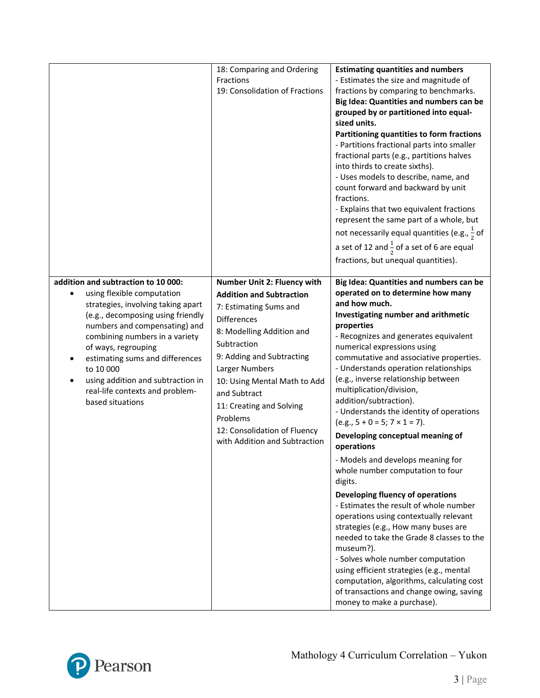|                                                                                                                                                                                                                                                                                                                                                                                                 | 18: Comparing and Ordering<br>Fractions<br>19: Consolidation of Fractions                                                                                                                                                                                                                                                                                          | <b>Estimating quantities and numbers</b><br>- Estimates the size and magnitude of<br>fractions by comparing to benchmarks.<br>Big Idea: Quantities and numbers can be<br>grouped by or partitioned into equal-<br>sized units.<br>Partitioning quantities to form fractions<br>- Partitions fractional parts into smaller<br>fractional parts (e.g., partitions halves<br>into thirds to create sixths).<br>- Uses models to describe, name, and<br>count forward and backward by unit<br>fractions.<br>- Explains that two equivalent fractions<br>represent the same part of a whole, but<br>not necessarily equal quantities (e.g., $\frac{1}{2}$ of<br>a set of 12 and $\frac{1}{2}$ of a set of 6 are equal<br>fractions, but unequal quantities).                                                                                                                                                                                                                                                                                                                 |
|-------------------------------------------------------------------------------------------------------------------------------------------------------------------------------------------------------------------------------------------------------------------------------------------------------------------------------------------------------------------------------------------------|--------------------------------------------------------------------------------------------------------------------------------------------------------------------------------------------------------------------------------------------------------------------------------------------------------------------------------------------------------------------|-------------------------------------------------------------------------------------------------------------------------------------------------------------------------------------------------------------------------------------------------------------------------------------------------------------------------------------------------------------------------------------------------------------------------------------------------------------------------------------------------------------------------------------------------------------------------------------------------------------------------------------------------------------------------------------------------------------------------------------------------------------------------------------------------------------------------------------------------------------------------------------------------------------------------------------------------------------------------------------------------------------------------------------------------------------------------|
| addition and subtraction to 10 000:<br>using flexible computation<br>$\bullet$<br>strategies, involving taking apart<br>(e.g., decomposing using friendly<br>numbers and compensating) and<br>combining numbers in a variety<br>of ways, regrouping<br>estimating sums and differences<br>to 10 000<br>using addition and subtraction in<br>real-life contexts and problem-<br>based situations | Number Unit 2: Fluency with<br><b>Addition and Subtraction</b><br>7: Estimating Sums and<br><b>Differences</b><br>8: Modelling Addition and<br>Subtraction<br>9: Adding and Subtracting<br>Larger Numbers<br>10: Using Mental Math to Add<br>and Subtract<br>11: Creating and Solving<br>Problems<br>12: Consolidation of Fluency<br>with Addition and Subtraction | Big Idea: Quantities and numbers can be<br>operated on to determine how many<br>and how much.<br>Investigating number and arithmetic<br>properties<br>- Recognizes and generates equivalent<br>numerical expressions using<br>commutative and associative properties.<br>- Understands operation relationships<br>(e.g., inverse relationship between<br>multiplication/division,<br>addition/subtraction).<br>- Understands the identity of operations<br>$(e.g., 5 + 0 = 5; 7 \times 1 = 7).$<br>Developing conceptual meaning of<br>operations<br>- Models and develops meaning for<br>whole number computation to four<br>digits.<br>Developing fluency of operations<br>- Estimates the result of whole number<br>operations using contextually relevant<br>strategies (e.g., How many buses are<br>needed to take the Grade 8 classes to the<br>museum?).<br>- Solves whole number computation<br>using efficient strategies (e.g., mental<br>computation, algorithms, calculating cost<br>of transactions and change owing, saving<br>money to make a purchase). |

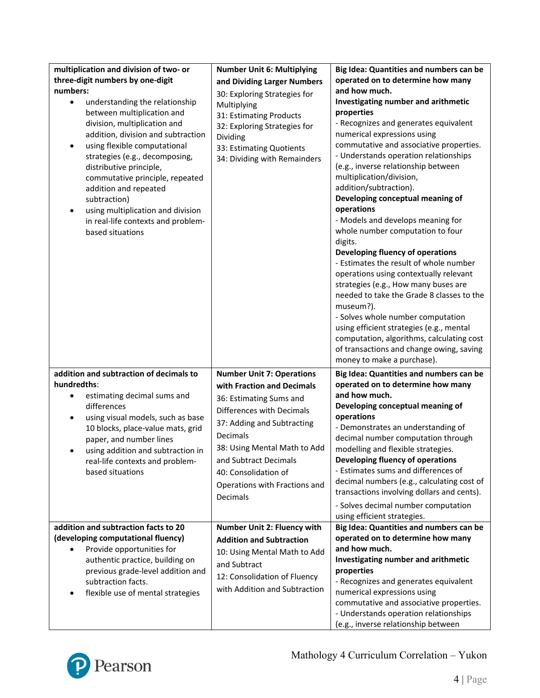| multiplication and division of two- or<br>three-digit numbers by one-digit<br>numbers:<br>understanding the relationship<br>$\bullet$<br>between multiplication and                                                                                                                                                                                     | <b>Number Unit 6: Multiplying</b><br>and Dividing Larger Numbers<br>30: Exploring Strategies for<br>Multiplying<br>31: Estimating Products                                                                                                                                                     | Big Idea: Quantities and numbers can be<br>operated on to determine how many<br>and how much.<br>Investigating number and arithmetic<br>properties                                                                                                                                                                                                                                                                                                                                                                                                                                                                                                                                                                                                                                                                            |
|---------------------------------------------------------------------------------------------------------------------------------------------------------------------------------------------------------------------------------------------------------------------------------------------------------------------------------------------------------|------------------------------------------------------------------------------------------------------------------------------------------------------------------------------------------------------------------------------------------------------------------------------------------------|-------------------------------------------------------------------------------------------------------------------------------------------------------------------------------------------------------------------------------------------------------------------------------------------------------------------------------------------------------------------------------------------------------------------------------------------------------------------------------------------------------------------------------------------------------------------------------------------------------------------------------------------------------------------------------------------------------------------------------------------------------------------------------------------------------------------------------|
| division, multiplication and<br>addition, division and subtraction<br>using flexible computational<br>$\bullet$<br>strategies (e.g., decomposing,<br>distributive principle,<br>commutative principle, repeated<br>addition and repeated<br>subtraction)<br>using multiplication and division<br>in real-life contexts and problem-<br>based situations | 32: Exploring Strategies for<br>Dividing<br>33: Estimating Quotients<br>34: Dividing with Remainders                                                                                                                                                                                           | - Recognizes and generates equivalent<br>numerical expressions using<br>commutative and associative properties.<br>- Understands operation relationships<br>(e.g., inverse relationship between<br>multiplication/division,<br>addition/subtraction).<br>Developing conceptual meaning of<br>operations<br>- Models and develops meaning for<br>whole number computation to four<br>digits.<br>Developing fluency of operations<br>- Estimates the result of whole number<br>operations using contextually relevant<br>strategies (e.g., How many buses are<br>needed to take the Grade 8 classes to the<br>museum?).<br>- Solves whole number computation<br>using efficient strategies (e.g., mental<br>computation, algorithms, calculating cost<br>of transactions and change owing, saving<br>money to make a purchase). |
| addition and subtraction of decimals to<br>hundredths:<br>estimating decimal sums and<br>$\bullet$<br>differences<br>using visual models, such as base<br>٠<br>10 blocks, place-value mats, grid<br>paper, and number lines<br>using addition and subtraction in<br>real-life contexts and problem-<br>based situations                                 | <b>Number Unit 7: Operations</b><br>with Fraction and Decimals<br>36: Estimating Sums and<br>Differences with Decimals<br>37: Adding and Subtracting<br>Decimals<br>38: Using Mental Math to Add<br>and Subtract Decimals<br>40: Consolidation of<br>Operations with Fractions and<br>Decimals | Big Idea: Quantities and numbers can be<br>operated on to determine how many<br>and how much.<br>Developing conceptual meaning of<br>operations<br>- Demonstrates an understanding of<br>decimal number computation through<br>modelling and flexible strategies.<br>Developing fluency of operations<br>- Estimates sums and differences of<br>decimal numbers (e.g., calculating cost of<br>transactions involving dollars and cents).<br>- Solves decimal number computation<br>using efficient strategies.                                                                                                                                                                                                                                                                                                                |
| addition and subtraction facts to 20<br>(developing computational fluency)                                                                                                                                                                                                                                                                              | Number Unit 2: Fluency with<br><b>Addition and Subtraction</b>                                                                                                                                                                                                                                 | Big Idea: Quantities and numbers can be<br>operated on to determine how many                                                                                                                                                                                                                                                                                                                                                                                                                                                                                                                                                                                                                                                                                                                                                  |
| Provide opportunities for<br>authentic practice, building on<br>previous grade-level addition and<br>subtraction facts.<br>flexible use of mental strategies                                                                                                                                                                                            | 10: Using Mental Math to Add<br>and Subtract<br>12: Consolidation of Fluency<br>with Addition and Subtraction                                                                                                                                                                                  | and how much.<br>Investigating number and arithmetic<br>properties<br>- Recognizes and generates equivalent<br>numerical expressions using<br>commutative and associative properties.<br>- Understands operation relationships<br>(e.g., inverse relationship between                                                                                                                                                                                                                                                                                                                                                                                                                                                                                                                                                         |

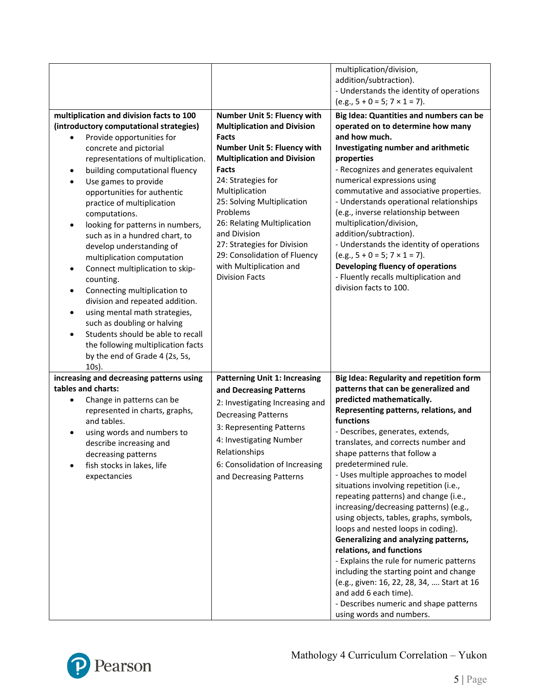| multiplication and division facts to 100<br>(introductory computational strategies)<br>Provide opportunities for<br>concrete and pictorial<br>representations of multiplication.<br>building computational fluency<br>٠<br>Use games to provide<br>$\bullet$                                                                                                                                                                                                                                                                                                | Number Unit 5: Fluency with<br><b>Multiplication and Division</b><br><b>Facts</b><br><b>Number Unit 5: Fluency with</b><br><b>Multiplication and Division</b><br><b>Facts</b><br>24: Strategies for                        | multiplication/division,<br>addition/subtraction).<br>- Understands the identity of operations<br>$(e.g., 5 + 0 = 5; 7 \times 1 = 7).$<br>Big Idea: Quantities and numbers can be<br>operated on to determine how many<br>and how much.<br>Investigating number and arithmetic<br>properties<br>- Recognizes and generates equivalent<br>numerical expressions using                                                                                                                                                                                                                                                                                                                                                                                                           |
|-------------------------------------------------------------------------------------------------------------------------------------------------------------------------------------------------------------------------------------------------------------------------------------------------------------------------------------------------------------------------------------------------------------------------------------------------------------------------------------------------------------------------------------------------------------|----------------------------------------------------------------------------------------------------------------------------------------------------------------------------------------------------------------------------|--------------------------------------------------------------------------------------------------------------------------------------------------------------------------------------------------------------------------------------------------------------------------------------------------------------------------------------------------------------------------------------------------------------------------------------------------------------------------------------------------------------------------------------------------------------------------------------------------------------------------------------------------------------------------------------------------------------------------------------------------------------------------------|
| opportunities for authentic<br>practice of multiplication<br>computations.<br>looking for patterns in numbers,<br>$\bullet$<br>such as in a hundred chart, to<br>develop understanding of<br>multiplication computation<br>Connect multiplication to skip-<br>٠<br>counting.<br>Connecting multiplication to<br>٠<br>division and repeated addition.<br>using mental math strategies,<br>$\bullet$<br>such as doubling or halving<br>Students should be able to recall<br>$\bullet$<br>the following multiplication facts<br>by the end of Grade 4 (2s, 5s, | Multiplication<br>25: Solving Multiplication<br>Problems<br>26: Relating Multiplication<br>and Division<br>27: Strategies for Division<br>29: Consolidation of Fluency<br>with Multiplication and<br><b>Division Facts</b> | commutative and associative properties.<br>- Understands operational relationships<br>(e.g., inverse relationship between<br>multiplication/division,<br>addition/subtraction).<br>- Understands the identity of operations<br>$(e.g., 5 + 0 = 5; 7 \times 1 = 7).$<br>Developing fluency of operations<br>- Fluently recalls multiplication and<br>division facts to 100.                                                                                                                                                                                                                                                                                                                                                                                                     |
| 10s).<br>increasing and decreasing patterns using                                                                                                                                                                                                                                                                                                                                                                                                                                                                                                           | <b>Patterning Unit 1: Increasing</b>                                                                                                                                                                                       | Big Idea: Regularity and repetition form                                                                                                                                                                                                                                                                                                                                                                                                                                                                                                                                                                                                                                                                                                                                       |
| tables and charts:                                                                                                                                                                                                                                                                                                                                                                                                                                                                                                                                          | and Decreasing Patterns                                                                                                                                                                                                    | patterns that can be generalized and                                                                                                                                                                                                                                                                                                                                                                                                                                                                                                                                                                                                                                                                                                                                           |
| Change in patterns can be<br>$\bullet$<br>represented in charts, graphs,<br>and tables.<br>using words and numbers to<br>describe increasing and<br>decreasing patterns<br>fish stocks in lakes, life<br>expectancies                                                                                                                                                                                                                                                                                                                                       | 2: Investigating Increasing and<br><b>Decreasing Patterns</b><br>3: Representing Patterns<br>4: Investigating Number<br>Relationships<br>6: Consolidation of Increasing<br>and Decreasing Patterns                         | predicted mathematically.<br>Representing patterns, relations, and<br>functions<br>- Describes, generates, extends,<br>translates, and corrects number and<br>shape patterns that follow a<br>predetermined rule.<br>- Uses multiple approaches to model<br>situations involving repetition (i.e.,<br>repeating patterns) and change (i.e.,<br>increasing/decreasing patterns) (e.g.,<br>using objects, tables, graphs, symbols,<br>loops and nested loops in coding).<br>Generalizing and analyzing patterns,<br>relations, and functions<br>- Explains the rule for numeric patterns<br>including the starting point and change<br>(e.g., given: 16, 22, 28, 34,  Start at 16<br>and add 6 each time).<br>- Describes numeric and shape patterns<br>using words and numbers. |

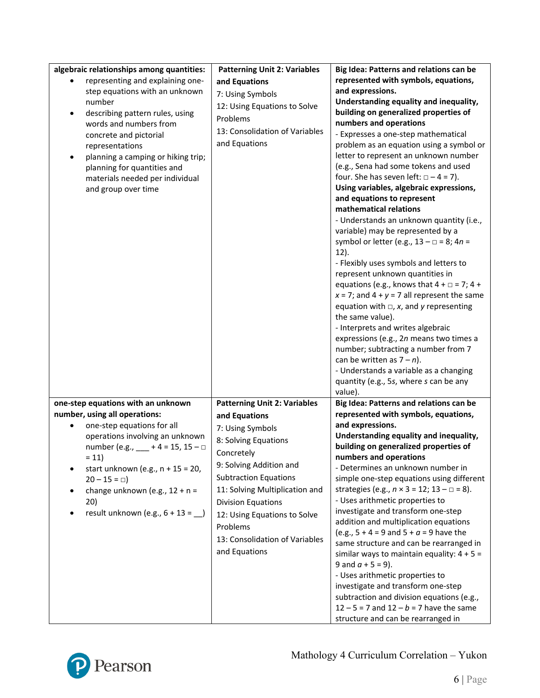| algebraic relationships among quantities:<br>representing and explaining one-<br>step equations with an unknown<br>number<br>describing pattern rules, using<br>$\bullet$<br>words and numbers from<br>concrete and pictorial<br>representations<br>planning a camping or hiking trip;<br>planning for quantities and<br>materials needed per individual<br>and group over time | <b>Patterning Unit 2: Variables</b><br>and Equations<br>7: Using Symbols<br>12: Using Equations to Solve<br>Problems<br>13: Consolidation of Variables<br>and Equations                                                                                                                                                                 | Big Idea: Patterns and relations can be<br>represented with symbols, equations,<br>and expressions.<br>Understanding equality and inequality,<br>building on generalized properties of<br>numbers and operations<br>- Expresses a one-step mathematical<br>problem as an equation using a symbol or<br>letter to represent an unknown number<br>(e.g., Sena had some tokens and used<br>four. She has seven left: $\Box - 4 = 7$ ).<br>Using variables, algebraic expressions,<br>and equations to represent<br>mathematical relations<br>- Understands an unknown quantity (i.e.,<br>variable) may be represented by a<br>symbol or letter (e.g., $13 - \square = 8$ ; $4n =$<br>$12$ ).<br>- Flexibly uses symbols and letters to<br>represent unknown quantities in<br>equations (e.g., knows that $4 + \square = 7$ ; $4 +$<br>$x = 7$ ; and $4 + y = 7$ all represent the same<br>equation with $\Box$ , x, and y representing<br>the same value).<br>- Interprets and writes algebraic<br>expressions (e.g., 2n means two times a<br>number; subtracting a number from 7<br>can be written as $7 - n$ ). |
|---------------------------------------------------------------------------------------------------------------------------------------------------------------------------------------------------------------------------------------------------------------------------------------------------------------------------------------------------------------------------------|-----------------------------------------------------------------------------------------------------------------------------------------------------------------------------------------------------------------------------------------------------------------------------------------------------------------------------------------|----------------------------------------------------------------------------------------------------------------------------------------------------------------------------------------------------------------------------------------------------------------------------------------------------------------------------------------------------------------------------------------------------------------------------------------------------------------------------------------------------------------------------------------------------------------------------------------------------------------------------------------------------------------------------------------------------------------------------------------------------------------------------------------------------------------------------------------------------------------------------------------------------------------------------------------------------------------------------------------------------------------------------------------------------------------------------------------------------------------|
| one-step equations with an unknown<br>number, using all operations:<br>one-step equations for all<br>operations involving an unknown<br>number (e.g., $- + 4 = 15$ , $15 - \Box$<br>$= 11$<br>start unknown (e.g., $n + 15 = 20$ ,<br>$20 - 15 = \Box$<br>change unknown (e.g., $12 + n =$<br>20)<br>result unknown (e.g., $6 + 13 =$ _)                                        | <b>Patterning Unit 2: Variables</b><br>and Equations<br>7: Using Symbols<br>8: Solving Equations<br>Concretely<br>9: Solving Addition and<br><b>Subtraction Equations</b><br>11: Solving Multiplication and<br><b>Division Equations</b><br>12: Using Equations to Solve<br>Problems<br>13: Consolidation of Variables<br>and Equations | - Understands a variable as a changing<br>quantity (e.g., 5s, where s can be any<br>value).<br>Big Idea: Patterns and relations can be<br>represented with symbols, equations,<br>and expressions.<br>Understanding equality and inequality,<br>building on generalized properties of<br>numbers and operations<br>- Determines an unknown number in<br>simple one-step equations using different<br>strategies (e.g., $n \times 3 = 12$ ; $13 - \square = 8$ ).<br>- Uses arithmetic properties to<br>investigate and transform one-step<br>addition and multiplication equations<br>(e.g., $5 + 4 = 9$ and $5 + a = 9$ have the<br>same structure and can be rearranged in<br>similar ways to maintain equality: $4 + 5 =$<br>9 and $a + 5 = 9$ ).<br>- Uses arithmetic properties to<br>investigate and transform one-step<br>subtraction and division equations (e.g.,<br>$12 - 5 = 7$ and $12 - b = 7$ have the same<br>structure and can be rearranged in                                                                                                                                                |

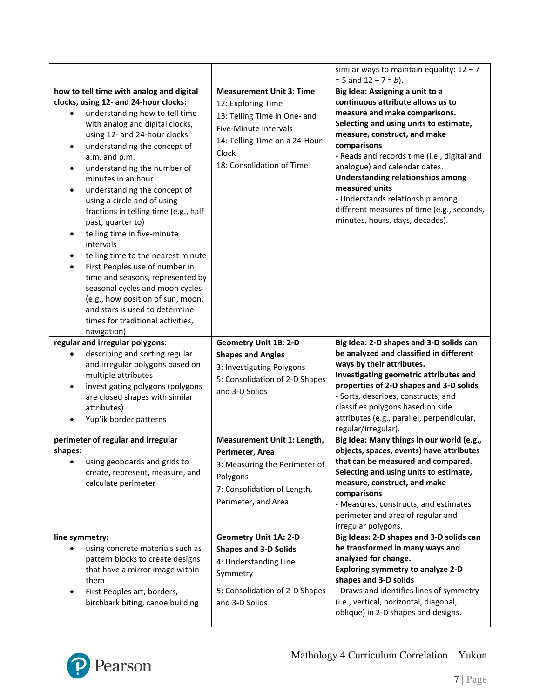|                                                                                                                                                                                                                                                                                                                                                                                                                                                                                                                                                                 |                                                                                                                                                                                       | similar ways to maintain equality: $12 - 7$<br>$= 5$ and $12 - 7 = b$ ).                                                                                                                                                                                                                                                                                                                                                                                          |
|-----------------------------------------------------------------------------------------------------------------------------------------------------------------------------------------------------------------------------------------------------------------------------------------------------------------------------------------------------------------------------------------------------------------------------------------------------------------------------------------------------------------------------------------------------------------|---------------------------------------------------------------------------------------------------------------------------------------------------------------------------------------|-------------------------------------------------------------------------------------------------------------------------------------------------------------------------------------------------------------------------------------------------------------------------------------------------------------------------------------------------------------------------------------------------------------------------------------------------------------------|
| how to tell time with analog and digital<br>clocks, using 12- and 24-hour clocks:<br>understanding how to tell time<br>with analog and digital clocks,<br>using 12- and 24-hour clocks<br>understanding the concept of<br>a.m. and p.m.<br>understanding the number of<br>$\bullet$<br>minutes in an hour<br>understanding the concept of<br>using a circle and of using<br>fractions in telling time (e.g., half<br>past, quarter to)<br>telling time in five-minute<br>intervals<br>telling time to the nearest minute<br>First Peoples use of number in<br>٠ | <b>Measurement Unit 3: Time</b><br>12: Exploring Time<br>13: Telling Time in One- and<br>Five-Minute Intervals<br>14: Telling Time on a 24-Hour<br>Clock<br>18: Consolidation of Time | Big Idea: Assigning a unit to a<br>continuous attribute allows us to<br>measure and make comparisons.<br>Selecting and using units to estimate,<br>measure, construct, and make<br>comparisons<br>- Reads and records time (i.e., digital and<br>analogue) and calendar dates.<br><b>Understanding relationships among</b><br>measured units<br>- Understands relationship among<br>different measures of time (e.g., seconds,<br>minutes, hours, days, decades). |
| time and seasons, represented by<br>seasonal cycles and moon cycles<br>(e.g., how position of sun, moon,<br>and stars is used to determine<br>times for traditional activities,<br>navigation)<br>regular and irregular polygons:                                                                                                                                                                                                                                                                                                                               | <b>Geometry Unit 1B: 2-D</b>                                                                                                                                                          | Big Idea: 2-D shapes and 3-D solids can                                                                                                                                                                                                                                                                                                                                                                                                                           |
| describing and sorting regular<br>and irregular polygons based on<br>multiple attributes<br>investigating polygons (polygons<br>٠<br>are closed shapes with similar<br>attributes)<br>Yup'ik border patterns                                                                                                                                                                                                                                                                                                                                                    | <b>Shapes and Angles</b><br>3: Investigating Polygons<br>5: Consolidation of 2-D Shapes<br>and 3-D Solids                                                                             | be analyzed and classified in different<br>ways by their attributes.<br>Investigating geometric attributes and<br>properties of 2-D shapes and 3-D solids<br>- Sorts, describes, constructs, and<br>classifies polygons based on side<br>attributes (e.g., parallel, perpendicular,<br>regular/irregular).                                                                                                                                                        |
| perimeter of regular and irregular<br>shapes:<br>using geoboards and grids to<br>create, represent, measure, and<br>calculate perimeter                                                                                                                                                                                                                                                                                                                                                                                                                         | Measurement Unit 1: Length,<br>Perimeter, Area<br>3: Measuring the Perimeter of<br>Polygons<br>7: Consolidation of Length,<br>Perimeter, and Area                                     | Big Idea: Many things in our world (e.g.,<br>objects, spaces, events) have attributes<br>that can be measured and compared.<br>Selecting and using units to estimate,<br>measure, construct, and make<br>comparisons<br>- Measures, constructs, and estimates<br>perimeter and area of regular and<br>irregular polygons.                                                                                                                                         |
| line symmetry:<br>using concrete materials such as<br>pattern blocks to create designs<br>that have a mirror image within<br>them<br>First Peoples art, borders,<br>birchbark biting, canoe building                                                                                                                                                                                                                                                                                                                                                            | <b>Geometry Unit 1A: 2-D</b><br><b>Shapes and 3-D Solids</b><br>4: Understanding Line<br>Symmetry<br>5: Consolidation of 2-D Shapes<br>and 3-D Solids                                 | Big Ideas: 2-D shapes and 3-D solids can<br>be transformed in many ways and<br>analyzed for change.<br><b>Exploring symmetry to analyze 2-D</b><br>shapes and 3-D solids<br>- Draws and identifies lines of symmetry<br>(i.e., vertical, horizontal, diagonal,<br>oblique) in 2-D shapes and designs.                                                                                                                                                             |

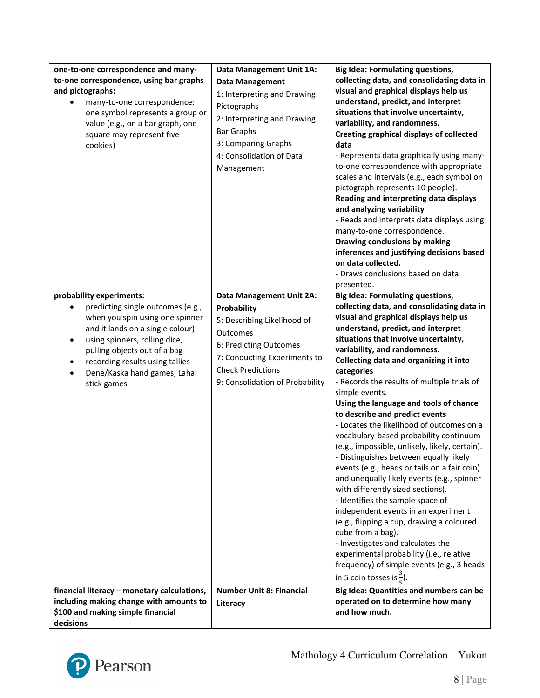| one-to-one correspondence and many-<br>to-one correspondence, using bar graphs                                                                                                                                                                                                               | Data Management Unit 1A:<br><b>Data Management</b>                                                                                                                                                                 | <b>Big Idea: Formulating questions,</b><br>collecting data, and consolidating data in                                                                                                                                                                                                                                                                                                                                                                                                                                                                                                                                                                                                                                                                                                                                                                                                                                                                                                                                                                                                       |
|----------------------------------------------------------------------------------------------------------------------------------------------------------------------------------------------------------------------------------------------------------------------------------------------|--------------------------------------------------------------------------------------------------------------------------------------------------------------------------------------------------------------------|---------------------------------------------------------------------------------------------------------------------------------------------------------------------------------------------------------------------------------------------------------------------------------------------------------------------------------------------------------------------------------------------------------------------------------------------------------------------------------------------------------------------------------------------------------------------------------------------------------------------------------------------------------------------------------------------------------------------------------------------------------------------------------------------------------------------------------------------------------------------------------------------------------------------------------------------------------------------------------------------------------------------------------------------------------------------------------------------|
| and pictographs:<br>many-to-one correspondence:<br>one symbol represents a group or<br>value (e.g., on a bar graph, one<br>square may represent five<br>cookies)                                                                                                                             | 1: Interpreting and Drawing<br>Pictographs<br>2: Interpreting and Drawing<br><b>Bar Graphs</b><br>3: Comparing Graphs<br>4: Consolidation of Data<br>Management                                                    | visual and graphical displays help us<br>understand, predict, and interpret<br>situations that involve uncertainty,<br>variability, and randomness.<br>Creating graphical displays of collected<br>data<br>- Represents data graphically using many-<br>to-one correspondence with appropriate<br>scales and intervals (e.g., each symbol on<br>pictograph represents 10 people).<br>Reading and interpreting data displays<br>and analyzing variability<br>- Reads and interprets data displays using<br>many-to-one correspondence.<br>Drawing conclusions by making<br>inferences and justifying decisions based<br>on data collected.<br>- Draws conclusions based on data<br>presented.                                                                                                                                                                                                                                                                                                                                                                                                |
| probability experiments:<br>predicting single outcomes (e.g.,<br>when you spin using one spinner<br>and it lands on a single colour)<br>using spinners, rolling dice,<br>٠<br>pulling objects out of a bag<br>recording results using tallies<br>Dene/Kaska hand games, Lahal<br>stick games | <b>Data Management Unit 2A:</b><br>Probability<br>5: Describing Likelihood of<br>Outcomes<br>6: Predicting Outcomes<br>7: Conducting Experiments to<br><b>Check Predictions</b><br>9: Consolidation of Probability | <b>Big Idea: Formulating questions,</b><br>collecting data, and consolidating data in<br>visual and graphical displays help us<br>understand, predict, and interpret<br>situations that involve uncertainty,<br>variability, and randomness.<br>Collecting data and organizing it into<br>categories<br>- Records the results of multiple trials of<br>simple events.<br>Using the language and tools of chance<br>to describe and predict events<br>- Locates the likelihood of outcomes on a<br>vocabulary-based probability continuum<br>(e.g., impossible, unlikely, likely, certain).<br>- Distinguishes between equally likely<br>events (e.g., heads or tails on a fair coin)<br>and unequally likely events (e.g., spinner<br>with differently sized sections).<br>- Identifies the sample space of<br>independent events in an experiment<br>(e.g., flipping a cup, drawing a coloured<br>cube from a bag).<br>- Investigates and calculates the<br>experimental probability (i.e., relative<br>frequency) of simple events (e.g., 3 heads<br>in 5 coin tosses is $\frac{3}{5}$ ). |
| financial literacy - monetary calculations,<br>including making change with amounts to<br>\$100 and making simple financial                                                                                                                                                                  | <b>Number Unit 8: Financial</b><br>Literacy                                                                                                                                                                        | Big Idea: Quantities and numbers can be<br>operated on to determine how many<br>and how much.                                                                                                                                                                                                                                                                                                                                                                                                                                                                                                                                                                                                                                                                                                                                                                                                                                                                                                                                                                                               |
| decisions                                                                                                                                                                                                                                                                                    |                                                                                                                                                                                                                    |                                                                                                                                                                                                                                                                                                                                                                                                                                                                                                                                                                                                                                                                                                                                                                                                                                                                                                                                                                                                                                                                                             |